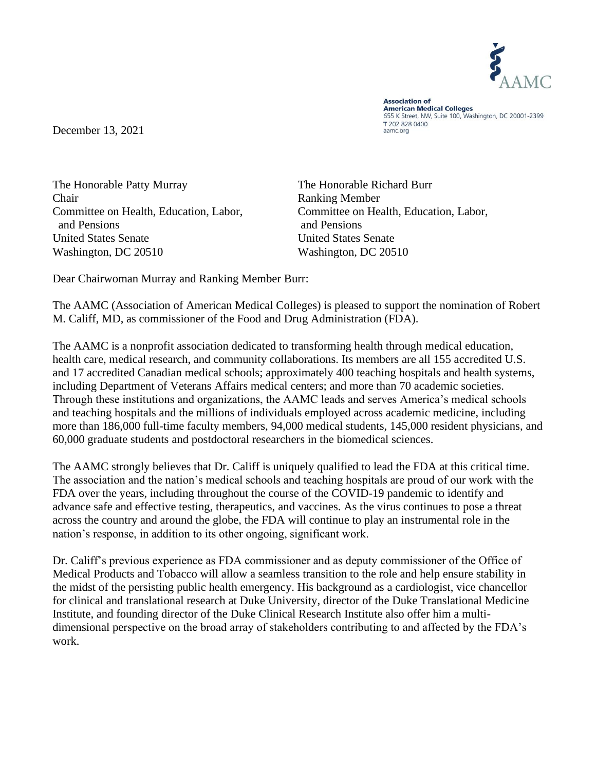

**Association of American Medical Colleges** 655 K Street, NW, Suite 100, Washington, DC 20001-2399 T 202 828 0400 aamc.org

December 13, 2021

The Honorable Patty Murray The Honorable Richard Burr Chair Ranking Member Committee on Health, Education, Labor, Committee on Health, Education, Labor, and Pensions and Pensions United States Senate United States Senate Washington, DC 20510 Washington, DC 20510

Dear Chairwoman Murray and Ranking Member Burr:

The AAMC (Association of American Medical Colleges) is pleased to support the nomination of Robert M. Califf, MD, as commissioner of the Food and Drug Administration (FDA).

The AAMC is a nonprofit association dedicated to transforming health through medical education, health care, medical research, and community collaborations. Its members are all 155 accredited U.S. and 17 accredited Canadian medical schools; approximately 400 teaching hospitals and health systems, including Department of Veterans Affairs medical centers; and more than 70 academic societies. Through these institutions and organizations, the AAMC leads and serves America's medical schools and teaching hospitals and the millions of individuals employed across academic medicine, including more than 186,000 full-time faculty members, 94,000 medical students, 145,000 resident physicians, and 60,000 graduate students and postdoctoral researchers in the biomedical sciences.

The AAMC strongly believes that Dr. Califf is uniquely qualified to lead the FDA at this critical time. The association and the nation's medical schools and teaching hospitals are proud of our work with the FDA over the years, including throughout the course of the COVID-19 pandemic to identify and advance safe and effective testing, therapeutics, and vaccines. As the virus continues to pose a threat across the country and around the globe, the FDA will continue to play an instrumental role in the nation's response, in addition to its other ongoing, significant work.

Dr. Califf's previous experience as FDA commissioner and as deputy commissioner of the Office of Medical Products and Tobacco will allow a seamless transition to the role and help ensure stability in the midst of the persisting public health emergency. His background as a cardiologist, vice chancellor for clinical and translational research at Duke University, director of the Duke Translational Medicine Institute, and founding director of the Duke Clinical Research Institute also offer him a multidimensional perspective on the broad array of stakeholders contributing to and affected by the FDA's work.